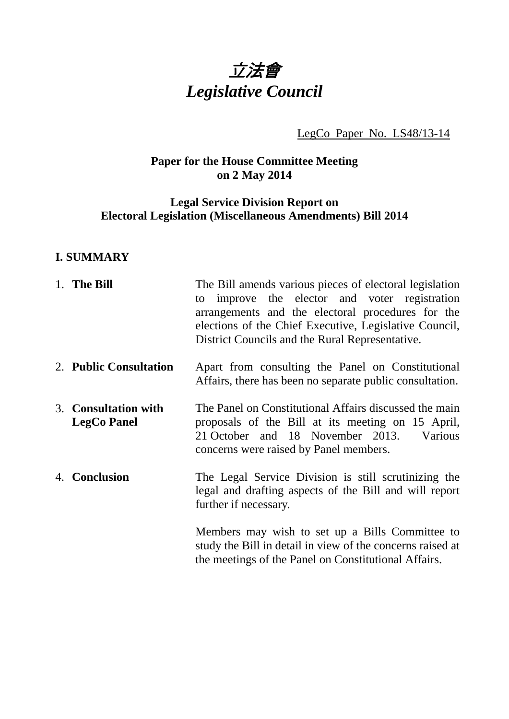

LegCo Paper No. LS48/13-14

# **Paper for the House Committee Meeting on 2 May 2014**

## **Legal Service Division Report on Electoral Legislation (Miscellaneous Amendments) Bill 2014**

## **I. SUMMARY**

| 1. The Bill                                | The Bill amends various pieces of electoral legislation<br>improve the elector and voter registration<br>to<br>arrangements and the electoral procedures for the<br>elections of the Chief Executive, Legislative Council,<br>District Councils and the Rural Representative. |
|--------------------------------------------|-------------------------------------------------------------------------------------------------------------------------------------------------------------------------------------------------------------------------------------------------------------------------------|
| 2. Public Consultation                     | Apart from consulting the Panel on Constitutional<br>Affairs, there has been no separate public consultation.                                                                                                                                                                 |
| 3. Consultation with<br><b>LegCo Panel</b> | The Panel on Constitutional Affairs discussed the main<br>proposals of the Bill at its meeting on 15 April,<br>21 October and 18 November 2013.<br>Various<br>concerns were raised by Panel members.                                                                          |
| 4. Conclusion                              | The Legal Service Division is still scrutinizing the<br>legal and drafting aspects of the Bill and will report<br>further if necessary.                                                                                                                                       |
|                                            | Members may wish to set up a Bills Committee to<br>study the Bill in detail in view of the concerns raised at<br>the meetings of the Panel on Constitutional Affairs.                                                                                                         |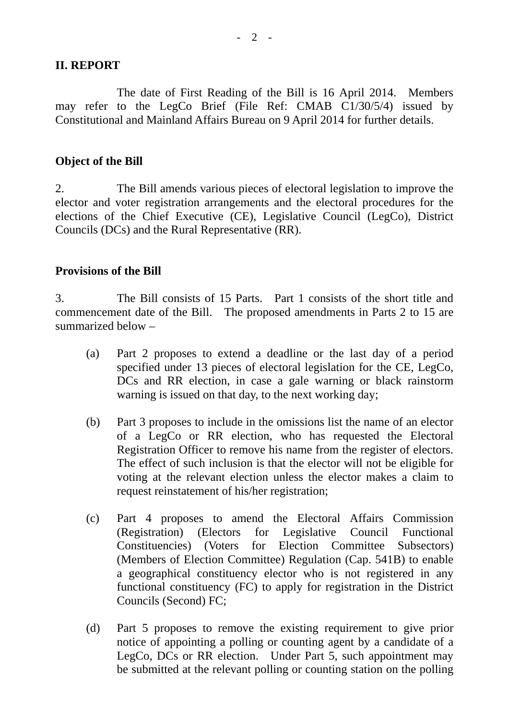#### **II. REPORT**

 The date of First Reading of the Bill is 16 April 2014. Members may refer to the LegCo Brief (File Ref: CMAB C1/30/5/4) issued by Constitutional and Mainland Affairs Bureau on 9 April 2014 for further details.

## **Object of the Bill**

2. The Bill amends various pieces of electoral legislation to improve the elector and voter registration arrangements and the electoral procedures for the elections of the Chief Executive (CE), Legislative Council (LegCo), District Councils (DCs) and the Rural Representative (RR).

## **Provisions of the Bill**

3. The Bill consists of 15 Parts. Part 1 consists of the short title and commencement date of the Bill. The proposed amendments in Parts 2 to 15 are summarized below –

- (a) Part 2 proposes to extend a deadline or the last day of a period specified under 13 pieces of electoral legislation for the CE, LegCo, DCs and RR election, in case a gale warning or black rainstorm warning is issued on that day, to the next working day;
- (b) Part 3 proposes to include in the omissions list the name of an elector of a LegCo or RR election, who has requested the Electoral Registration Officer to remove his name from the register of electors. The effect of such inclusion is that the elector will not be eligible for voting at the relevant election unless the elector makes a claim to request reinstatement of his/her registration;
- (c) Part 4 proposes to amend the Electoral Affairs Commission (Registration) (Electors for Legislative Council Functional Constituencies) (Voters for Election Committee Subsectors) (Members of Election Committee) Regulation (Cap. 541B) to enable a geographical constituency elector who is not registered in any functional constituency (FC) to apply for registration in the District Councils (Second) FC;
- (d) Part 5 proposes to remove the existing requirement to give prior notice of appointing a polling or counting agent by a candidate of a LegCo, DCs or RR election. Under Part 5, such appointment may be submitted at the relevant polling or counting station on the polling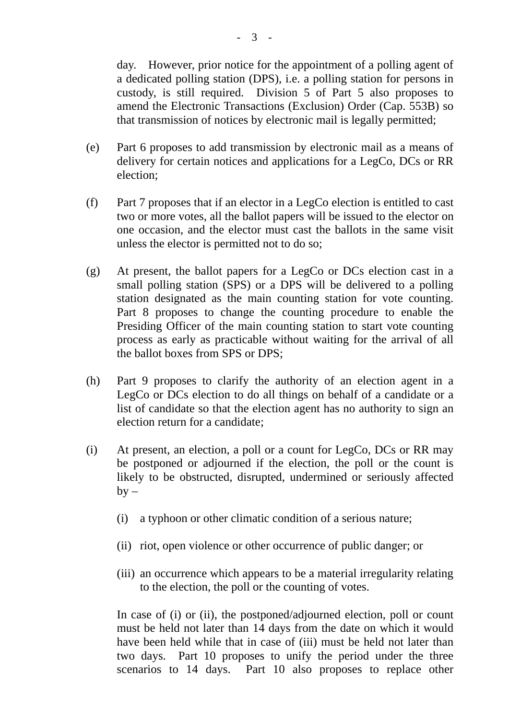day. However, prior notice for the appointment of a polling agent of a dedicated polling station (DPS), i.e. a polling station for persons in custody, is still required. Division 5 of Part 5 also proposes to amend the Electronic Transactions (Exclusion) Order (Cap. 553B) so that transmission of notices by electronic mail is legally permitted;

- (e) Part 6 proposes to add transmission by electronic mail as a means of delivery for certain notices and applications for a LegCo, DCs or RR election;
- (f) Part 7 proposes that if an elector in a LegCo election is entitled to cast two or more votes, all the ballot papers will be issued to the elector on one occasion, and the elector must cast the ballots in the same visit unless the elector is permitted not to do so;
- (g) At present, the ballot papers for a LegCo or DCs election cast in a small polling station (SPS) or a DPS will be delivered to a polling station designated as the main counting station for vote counting. Part 8 proposes to change the counting procedure to enable the Presiding Officer of the main counting station to start vote counting process as early as practicable without waiting for the arrival of all the ballot boxes from SPS or DPS;
- (h) Part 9 proposes to clarify the authority of an election agent in a LegCo or DCs election to do all things on behalf of a candidate or a list of candidate so that the election agent has no authority to sign an election return for a candidate;
- (i) At present, an election, a poll or a count for LegCo, DCs or RR may be postponed or adjourned if the election, the poll or the count is likely to be obstructed, disrupted, undermined or seriously affected  $by -$ 
	- (i) a typhoon or other climatic condition of a serious nature;
	- (ii) riot, open violence or other occurrence of public danger; or
	- (iii) an occurrence which appears to be a material irregularity relating to the election, the poll or the counting of votes.

In case of (i) or (ii), the postponed/adjourned election, poll or count must be held not later than 14 days from the date on which it would have been held while that in case of (iii) must be held not later than two days. Part 10 proposes to unify the period under the three scenarios to 14 days. Part 10 also proposes to replace other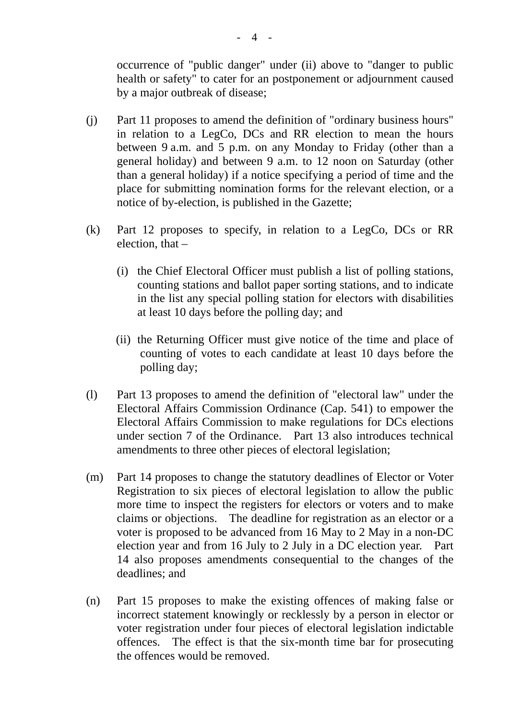occurrence of "public danger" under (ii) above to "danger to public health or safety" to cater for an postponement or adjournment caused by a major outbreak of disease;

- (j) Part 11 proposes to amend the definition of "ordinary business hours" in relation to a LegCo, DCs and RR election to mean the hours between 9 a.m. and 5 p.m. on any Monday to Friday (other than a general holiday) and between 9 a.m. to 12 noon on Saturday (other than a general holiday) if a notice specifying a period of time and the place for submitting nomination forms for the relevant election, or a notice of by-election, is published in the Gazette;
- (k) Part 12 proposes to specify, in relation to a LegCo, DCs or RR election, that –
	- (i) the Chief Electoral Officer must publish a list of polling stations, counting stations and ballot paper sorting stations, and to indicate in the list any special polling station for electors with disabilities at least 10 days before the polling day; and
	- (ii) the Returning Officer must give notice of the time and place of counting of votes to each candidate at least 10 days before the polling day;
- (l) Part 13 proposes to amend the definition of "electoral law" under the Electoral Affairs Commission Ordinance (Cap. 541) to empower the Electoral Affairs Commission to make regulations for DCs elections under section 7 of the Ordinance. Part 13 also introduces technical amendments to three other pieces of electoral legislation;
- (m) Part 14 proposes to change the statutory deadlines of Elector or Voter Registration to six pieces of electoral legislation to allow the public more time to inspect the registers for electors or voters and to make claims or objections. The deadline for registration as an elector or a voter is proposed to be advanced from 16 May to 2 May in a non-DC election year and from 16 July to 2 July in a DC election year. Part 14 also proposes amendments consequential to the changes of the deadlines; and
- (n) Part 15 proposes to make the existing offences of making false or incorrect statement knowingly or recklessly by a person in elector or voter registration under four pieces of electoral legislation indictable offences. The effect is that the six-month time bar for prosecuting the offences would be removed.